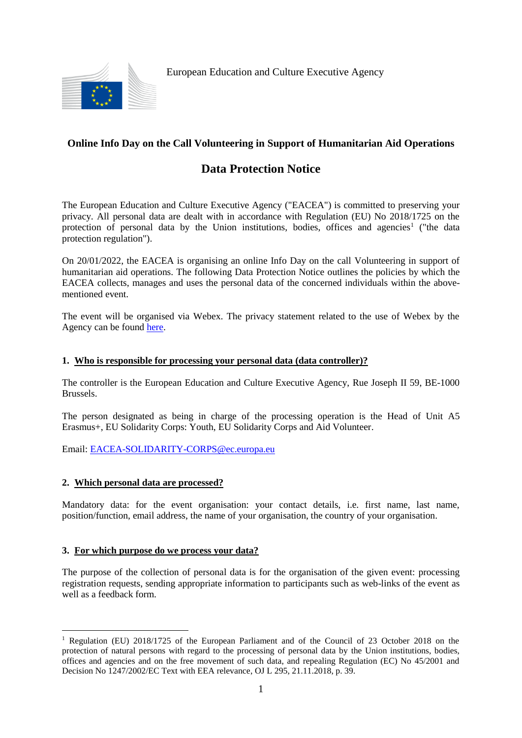

European Education and Culture Executive Agency

# **Online Info Day on the Call Volunteering in Support of Humanitarian Aid Operations**

# **Data Protection Notice**

The European Education and Culture Executive Agency ("EACEA") is committed to preserving your privacy. All personal data are dealt with in accordance with Regulation (EU) No 2018/1725 on the protection of personal data by the Union institutions, bodies, offices and agencies<sup>1</sup> ("the data protection regulation").

On 20/01/2022, the EACEA is organising an online Info Day on the call Volunteering in support of humanitarian aid operations. The following Data Protection Notice outlines the policies by which the EACEA collects, manages and uses the personal data of the concerned individuals within the abovementioned event.

The event will be organised via Webex. The privacy statement related to the use of Webex by the Agency can be found [here.](https://ec.europa.eu/info/sites/default/files/web_conference_privacy.2021_.pdf)

## **1. Who is responsible for processing your personal data (data controller)?**

The controller is the European Education and Culture Executive Agency, Rue Joseph II 59, BE-1000 Brussels.

The person designated as being in charge of the processing operation is the Head of Unit A5 Erasmus+, EU Solidarity Corps: Youth, EU Solidarity Corps and Aid Volunteer.

Email: [EACEA-SOLIDARITY-CORPS@ec.europa.eu](mailto:EACEA-SOLIDARITY-CORPS@ec.europa.eu)

## **2. Which personal data are processed?**

<u>.</u>

Mandatory data: for the event organisation: your contact details, i.e. first name, last name, position/function, email address, the name of your organisation, the country of your organisation.

#### **3. For which purpose do we process your data?**

The purpose of the collection of personal data is for the organisation of the given event: processing registration requests, sending appropriate information to participants such as web-links of the event as well as a feedback form.

<sup>&</sup>lt;sup>1</sup> Regulation (EU) 2018/1725 of the European Parliament and of the Council of 23 October 2018 on the protection of natural persons with regard to the processing of personal data by the Union institutions, bodies, offices and agencies and on the free movement of such data, and repealing Regulation (EC) No 45/2001 and Decision No 1247/2002/EC Text with EEA relevance, OJ L 295, 21.11.2018, p. 39*.*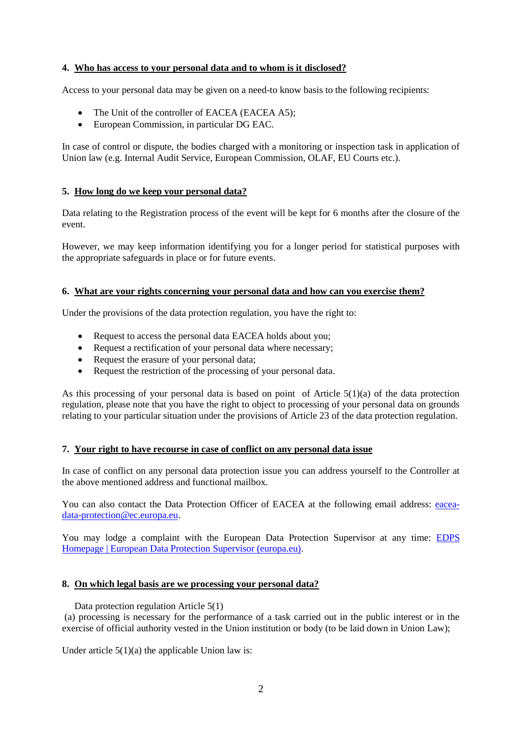#### **4. Who has access to your personal data and to whom is it disclosed?**

Access to your personal data may be given on a need-to know basis to the following recipients:

- The Unit of the controller of EACEA (EACEA A5):
- European Commission, in particular DG EAC.

In case of control or dispute, the bodies charged with a monitoring or inspection task in application of Union law (e.g. Internal Audit Service, European Commission, OLAF, EU Courts etc.).

#### **5. How long do we keep your personal data?**

Data relating to the Registration process of the event will be kept for 6 months after the closure of the event.

However, we may keep information identifying you for a longer period for statistical purposes with the appropriate safeguards in place or for future events.

#### **6. What are your rights concerning your personal data and how can you exercise them?**

Under the provisions of the data protection regulation, you have the right to:

- Request to access the personal data EACEA holds about you;
- Request a rectification of your personal data where necessary;
- Request the erasure of your personal data;
- Request the restriction of the processing of your personal data.

As this processing of your personal data is based on point of Article 5(1)(a) of the data protection regulation, please note that you have the right to object to processing of your personal data on grounds relating to your particular situation under the provisions of Article 23 of the data protection regulation.

#### **7. Your right to have recourse in case of conflict on any personal data issue**

In case of conflict on any personal data protection issue you can address yourself to the Controller at the above mentioned address and functional mailbox.

You can also contact the Data Protection Officer of EACEA at the following email address: [eacea](mailto:eacea-data-protection@ec.europa.eu)[data-protection@ec.europa.eu.](mailto:eacea-data-protection@ec.europa.eu)

You may lodge a complaint with the European Data Protection Supervisor at any time: [EDPS](https://edps.europa.eu/_en)  [Homepage | European Data Protection Supervisor \(europa.eu\).](https://edps.europa.eu/_en)

#### **8. On which legal basis are we processing your personal data?**

Data protection regulation Article 5(1)

(a) processing is necessary for the performance of a task carried out in the public interest or in the exercise of official authority vested in the Union institution or body (to be laid down in Union Law);

Under article  $5(1)(a)$  the applicable Union law is: